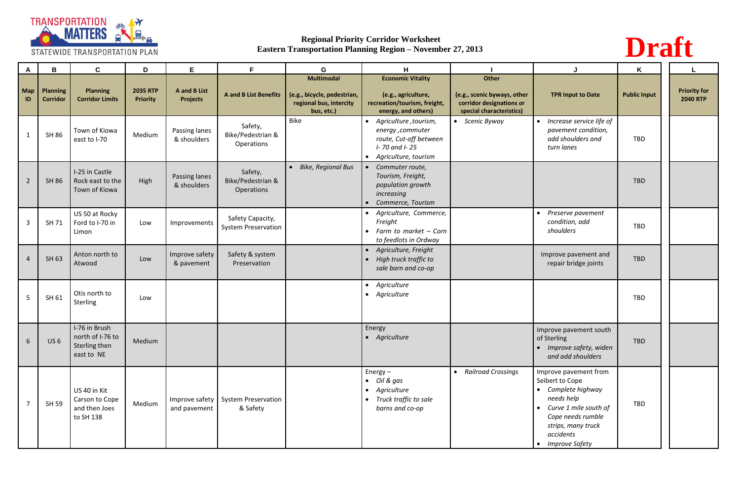

| A                | B                                  | $\mathbf c$                                                      | D                                  | E                                             | F.                                             | G                                                                                  | H                                                                                                                         |                                                                                              | J                                                                                                                                                                                                                           | K                   |                                        |
|------------------|------------------------------------|------------------------------------------------------------------|------------------------------------|-----------------------------------------------|------------------------------------------------|------------------------------------------------------------------------------------|---------------------------------------------------------------------------------------------------------------------------|----------------------------------------------------------------------------------------------|-----------------------------------------------------------------------------------------------------------------------------------------------------------------------------------------------------------------------------|---------------------|----------------------------------------|
| <b>Map</b><br>ID | <b>Planning</b><br><b>Corridor</b> | <b>Planning</b><br><b>Corridor Limits</b>                        | <b>2035 RTP</b><br><b>Priority</b> | <b>A</b> and <b>B</b> List<br><b>Projects</b> | <b>A and B List Benefits</b>                   | Multimodal<br>(e.g., bicycle, pedestrian,<br>regional bus, intercity<br>bus, etc.) | <b>Economic Vitality</b><br>(e.g., agriculture,<br>recreation/tourism, freight,<br>energy, and others)                    | Other<br>(e.g., scenic byways, other<br>corridor designations or<br>special characteristics) | <b>TPR Input to Date</b>                                                                                                                                                                                                    | <b>Public Input</b> | <b>Priority for</b><br><b>2040 RTP</b> |
|                  | <b>SH 86</b>                       | Town of Kiowa<br>east to I-70                                    | Medium                             | Passing lanes<br>& shoulders                  | Safety,<br>Bike/Pedestrian &<br>Operations     | <b>Bike</b>                                                                        | Agriculture, tourism,<br>energy ,commuter<br>route, Cut-off between<br>I-70 and I-25<br>Agriculture, tourism<br>$\bullet$ | • Scenic Byway                                                                               | Increase service life of<br>$\bullet$<br>pavement condition,<br>add shoulders and<br>turn lanes                                                                                                                             | TBD                 |                                        |
| $\overline{2}$   | <b>SH 86</b>                       | I-25 in Castle<br>Rock east to the<br>Town of Kiowa              | High                               | Passing lanes<br>& shoulders                  | Safety,<br>Bike/Pedestrian &<br>Operations     | • Bike, Regional Bus                                                               | Commuter route,<br>Tourism, Freight,<br>population growth<br>increasing<br>Commerce, Tourism                              |                                                                                              |                                                                                                                                                                                                                             | <b>TBD</b>          |                                        |
| 3                | SH 71                              | US 50 at Rocky<br>Ford to I-70 in<br>Limon                       | Low                                | Improvements                                  | Safety Capacity,<br><b>System Preservation</b> |                                                                                    | Agriculture, Commerce,<br>Freight<br>Farm to market - Corn<br>$\bullet$<br>to feedlots in Ordway                          |                                                                                              | Preserve pavement<br>$\bullet$<br>condition, add<br>shoulders                                                                                                                                                               | <b>TBD</b>          |                                        |
|                  | SH 63                              | Anton north to<br>Atwood                                         | Low                                | Improve safety<br>& pavement                  | Safety & system<br>Preservation                |                                                                                    | Agriculture, Freight<br>$\bullet$<br>High truck traffic to<br>sale barn and co-op                                         |                                                                                              | Improve pavement and<br>repair bridge joints                                                                                                                                                                                | <b>TBD</b>          |                                        |
| 5                | SH 61                              | Otis north to<br>Sterling                                        | Low                                |                                               |                                                |                                                                                    | Agriculture<br>$\bullet$<br>Agriculture                                                                                   |                                                                                              |                                                                                                                                                                                                                             | <b>TBD</b>          |                                        |
| 6                | US <sub>6</sub>                    | I-76 in Brush<br>north of I-76 to<br>Sterling then<br>east to NE | Medium                             |                                               |                                                |                                                                                    | Energy<br>Agriculture<br>$\bullet$                                                                                        |                                                                                              | Improve pavement south<br>of Sterling<br>• Improve safety, widen<br>and add shoulders                                                                                                                                       | <b>TBD</b>          |                                        |
| $\overline{7}$   | SH 59                              | US 40 in Kit<br>Carson to Cope<br>and then Joes<br>to SH 138     | Medium                             | Improve safety<br>and pavement                | System Preservation<br>& Safety                |                                                                                    | $Energy -$<br>• Oil & gas<br>Agriculture<br>$\bullet$<br>Truck traffic to sale<br>barns and co-op                         | • Railroad Crossings                                                                         | Improve pavement from<br>Seibert to Cope<br>Complete highway<br>$\bullet$<br>needs help<br>Curve 1 mile south of<br>$\bullet$<br>Cope needs rumble<br>strips, many truck<br>accidents<br><b>Improve Safety</b><br>$\bullet$ | TBD                 |                                        |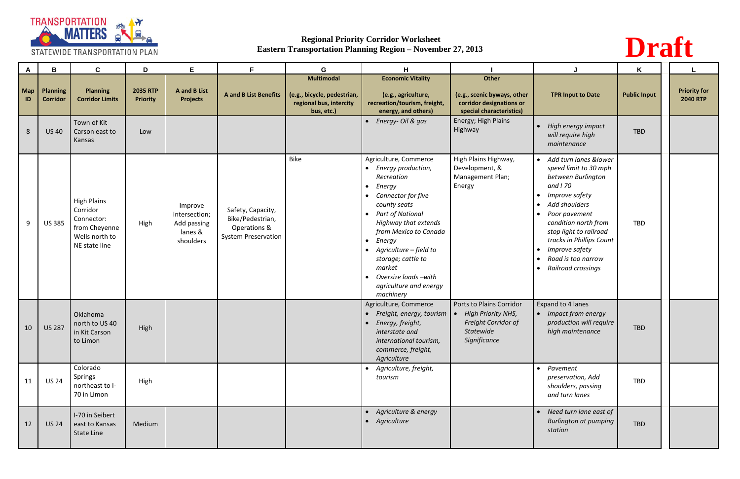

| A                | B                                  | $\mathbf c$                                                                                      | D                                  | E                                                               | F.                                                                                  | G                                                                                         | H                                                                                                                                                                                                                                                                                                                                                                 |                                                                                                           |                                                                                                                                                                                                                                                                                                                                             | K                   |                                        |
|------------------|------------------------------------|--------------------------------------------------------------------------------------------------|------------------------------------|-----------------------------------------------------------------|-------------------------------------------------------------------------------------|-------------------------------------------------------------------------------------------|-------------------------------------------------------------------------------------------------------------------------------------------------------------------------------------------------------------------------------------------------------------------------------------------------------------------------------------------------------------------|-----------------------------------------------------------------------------------------------------------|---------------------------------------------------------------------------------------------------------------------------------------------------------------------------------------------------------------------------------------------------------------------------------------------------------------------------------------------|---------------------|----------------------------------------|
| <b>Map</b><br>ID | <b>Planning</b><br><b>Corridor</b> | <b>Planning</b><br><b>Corridor Limits</b>                                                        | <b>2035 RTP</b><br><b>Priority</b> | <b>A</b> and <b>B</b> List<br><b>Projects</b>                   | <b>A and B List Benefits</b>                                                        | <b>Multimodal</b><br>(e.g., bicycle, pedestrian,<br>regional bus, intercity<br>bus, etc.) | <b>Economic Vitality</b><br>(e.g., agriculture,<br>recreation/tourism, freight,<br>energy, and others)                                                                                                                                                                                                                                                            | <b>Other</b><br>(e.g., scenic byways, other<br>corridor designations or<br>special characteristics)       | <b>TPR Input to Date</b>                                                                                                                                                                                                                                                                                                                    | <b>Public Input</b> | <b>Priority for</b><br><b>2040 RTP</b> |
| 8                | <b>US40</b>                        | Town of Kit<br>Carson east to<br>Kansas                                                          | Low                                |                                                                 |                                                                                     |                                                                                           | Energy- Oil & gas                                                                                                                                                                                                                                                                                                                                                 | Energy; High Plains<br>Highway                                                                            | High energy impact<br>will require high<br>maintenance                                                                                                                                                                                                                                                                                      | <b>TBD</b>          |                                        |
| 9                | <b>US 385</b>                      | <b>High Plains</b><br>Corridor<br>Connector:<br>from Cheyenne<br>Wells north to<br>NE state line | High                               | Improve<br>intersection;<br>Add passing<br>lanes &<br>shoulders | Safety, Capacity,<br>Bike/Pedestrian,<br>Operations &<br><b>System Preservation</b> | Bike                                                                                      | Agriculture, Commerce<br>• Energy production,<br>Recreation<br>Energy<br>$\bullet$<br>Connector for five<br>county seats<br><b>Part of National</b><br>$\bullet$<br>Highway that extends<br>from Mexico to Canada<br>Energy<br>$\bullet$<br>Agriculture - field to<br>storage; cattle to<br>market<br>Oversize loads -with<br>agriculture and energy<br>machinery | High Plains Highway,<br>Development, &<br>Management Plan;<br>Energy                                      | Add turn lanes &lower<br>$\bullet$<br>speed limit to 30 mph<br>between Burlington<br>and <i>1</i> 70<br>Improve safety<br>Add shoulders<br>Poor pavement<br>$\bullet$<br>condition north from<br>stop light to railroad<br>tracks in Phillips Count<br>Improve safety<br>$\bullet$<br>Road is too narrow<br>Railroad crossings<br>$\bullet$ | <b>TBD</b>          |                                        |
| 10               | <b>US 287</b>                      | Oklahoma<br>north to US 40<br>in Kit Carson<br>to Limon                                          | High                               |                                                                 |                                                                                     |                                                                                           | Agriculture, Commerce<br>Freight, energy, tourism $\vert \bullet \vert$<br>Energy, freight,<br>interstate and<br>international tourism,<br>commerce, freight,<br>Agriculture                                                                                                                                                                                      | Ports to Plains Corridor<br><b>High Priority NHS,</b><br>Freight Corridor of<br>Statewide<br>Significance | Expand to 4 lanes<br>• Impact from energy<br>production will require<br>high maintenance                                                                                                                                                                                                                                                    | <b>TBD</b>          |                                        |
| 11               | <b>US 24</b>                       | Colorado<br>Springs<br>northeast to I-<br>70 in Limon                                            | High                               |                                                                 |                                                                                     |                                                                                           | Agriculture, freight,<br>tourism                                                                                                                                                                                                                                                                                                                                  |                                                                                                           | Pavement<br>$\bullet$<br>preservation, Add<br>shoulders, passing<br>and turn lanes                                                                                                                                                                                                                                                          | TBD                 |                                        |
| 12               | <b>US 24</b>                       | I-70 in Seibert<br>east to Kansas<br>State Line                                                  | Medium                             |                                                                 |                                                                                     |                                                                                           | Agriculture & energy<br>• Agriculture                                                                                                                                                                                                                                                                                                                             |                                                                                                           | Need turn lane east of<br>$\bullet$<br><b>Burlington at pumping</b><br>station                                                                                                                                                                                                                                                              | <b>TBD</b>          |                                        |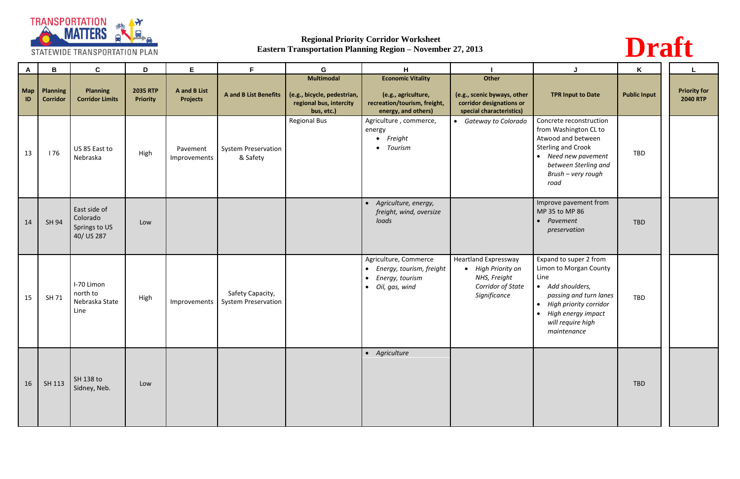

| $\mathsf{A}$ | B                                  | $\mathbf c$                                             | D                                  | E                                             | F                                              | G                                                                                         | H.                                                                                                               |                                                                                                        |                                                                                                                                                                                                                                 | K                   | L                                      |
|--------------|------------------------------------|---------------------------------------------------------|------------------------------------|-----------------------------------------------|------------------------------------------------|-------------------------------------------------------------------------------------------|------------------------------------------------------------------------------------------------------------------|--------------------------------------------------------------------------------------------------------|---------------------------------------------------------------------------------------------------------------------------------------------------------------------------------------------------------------------------------|---------------------|----------------------------------------|
| Map<br>ID    | <b>Planning</b><br><b>Corridor</b> | <b>Planning</b><br><b>Corridor Limits</b>               | <b>2035 RTP</b><br><b>Priority</b> | <b>A</b> and <b>B</b> List<br><b>Projects</b> | <b>A and B List Benefits</b>                   | <b>Multimodal</b><br>(e.g., bicycle, pedestrian,<br>regional bus, intercity<br>bus, etc.) | <b>Economic Vitality</b><br>(e.g., agriculture,<br>recreation/tourism, freight,<br>energy, and others)           | Other<br>(e.g., scenic byways, other<br>corridor designations or<br>special characteristics)           | <b>TPR Input to Date</b>                                                                                                                                                                                                        | <b>Public Input</b> | <b>Priority for</b><br><b>2040 RTP</b> |
| 13           | 176                                | US 85 East to<br>Nebraska                               | High                               | Pavement<br>Improvements                      | <b>System Preservation</b><br>& Safety         | <b>Regional Bus</b>                                                                       | Agriculture, commerce,<br>energy<br>• Freight<br>• Tourism                                                       | Gateway to Colorado                                                                                    | Concrete reconstruction<br>from Washington CL to<br>Atwood and between<br><b>Sterling and Crook</b><br>Need new pavement<br>$\bullet$<br>between Sterling and<br>Brush - very rough<br>road                                     | <b>TBD</b>          |                                        |
| 14           | SH 94                              | East side of<br>Colorado<br>Springs to US<br>40/ US 287 | Low                                |                                               |                                                |                                                                                           | Agriculture, energy,<br>freight, wind, oversize<br>loads                                                         |                                                                                                        | Improve pavement from<br>MP 35 to MP 86<br>Pavement<br>$\bullet$<br>preservation                                                                                                                                                | <b>TBD</b>          |                                        |
| 15           | SH 71                              | I-70 Limon<br>north to<br>Nebraska State<br>Line        | High                               | Improvements                                  | Safety Capacity,<br><b>System Preservation</b> |                                                                                           | Agriculture, Commerce<br>Energy, tourism, freight<br>Energy, tourism<br>$\bullet$<br>Oil, gas, wind<br>$\bullet$ | <b>Heartland Expressway</b><br>• High Priority on<br>NHS, Freight<br>Corridor of State<br>Significance | Expand to super 2 from<br>Limon to Morgan County<br>Line<br>Add shoulders,<br>$\bullet$<br>passing and turn lanes<br>High priority corridor<br>$\bullet$<br>High energy impact<br>$\bullet$<br>will require high<br>maintenance | <b>TBD</b>          |                                        |
| $\vert$ 16   | SH 113                             | SH 138 to<br>Sidney, Neb.                               | Low                                |                                               |                                                |                                                                                           | • Agriculture                                                                                                    |                                                                                                        |                                                                                                                                                                                                                                 | <b>TBD</b>          |                                        |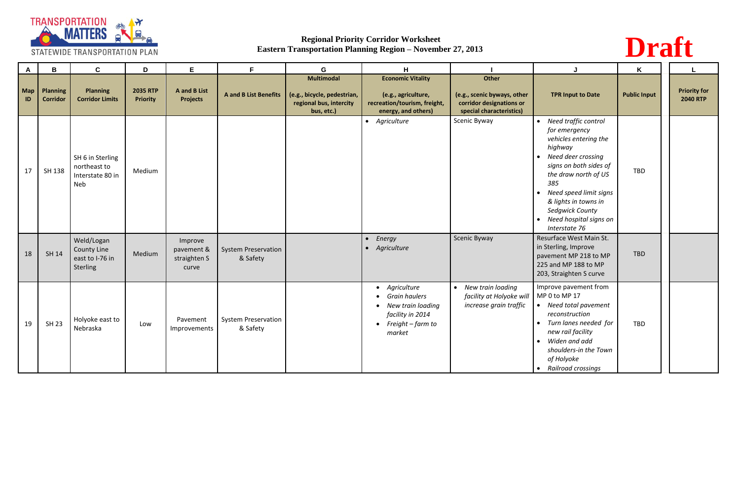

| $\mathbf{A}$ | $\mathbf B$                        | $\mathbf c$                                                     | D                                  | E.                                             | F.                                     | G                                                                                         | H                                                                                                              |                                                                                              |                                                                                                                                                                                                                                                                                                                              | K                   |                                        |
|--------------|------------------------------------|-----------------------------------------------------------------|------------------------------------|------------------------------------------------|----------------------------------------|-------------------------------------------------------------------------------------------|----------------------------------------------------------------------------------------------------------------|----------------------------------------------------------------------------------------------|------------------------------------------------------------------------------------------------------------------------------------------------------------------------------------------------------------------------------------------------------------------------------------------------------------------------------|---------------------|----------------------------------------|
| Map<br>ID    | <b>Planning</b><br><b>Corridor</b> | <b>Planning</b><br><b>Corridor Limits</b>                       | <b>2035 RTP</b><br><b>Priority</b> | <b>A</b> and <b>B</b> List<br><b>Projects</b>  | <b>A and B List Benefits</b>           | <b>Multimodal</b><br>(e.g., bicycle, pedestrian,<br>regional bus, intercity<br>bus, etc.) | <b>Economic Vitality</b><br>(e.g., agriculture,<br>recreation/tourism, freight,<br>energy, and others)         | Other<br>(e.g., scenic byways, other<br>corridor designations or<br>special characteristics) | <b>TPR Input to Date</b>                                                                                                                                                                                                                                                                                                     | <b>Public Input</b> | <b>Priority for</b><br><b>2040 RTP</b> |
| 17           | SH 138                             | SH 6 in Sterling<br>northeast to<br>Interstate 80 in<br>Neb     | Medium                             |                                                |                                        |                                                                                           | • Agriculture                                                                                                  | Scenic Byway                                                                                 | Need traffic control<br>$\bullet$<br>for emergency<br>vehicles entering the<br>highway<br>Need deer crossing<br>$\bullet$<br>signs on both sides of<br>the draw north of US<br>385<br>Need speed limit signs<br>$\bullet$<br>& lights in towns in<br>Sedgwick County<br>Need hospital signs on<br>$\bullet$<br>Interstate 76 | TBD                 |                                        |
| 18           | <b>SH 14</b>                       | Weld/Logan<br><b>County Line</b><br>east to I-76 in<br>Sterling | Medium                             | Improve<br>pavement &<br>straighten S<br>curve | <b>System Preservation</b><br>& Safety |                                                                                           | Energy<br>$\bullet$<br>• Agriculture                                                                           | Scenic Byway                                                                                 | Resurface West Main St.<br>in Sterling, Improve<br>pavement MP 218 to MP<br>225 and MP 188 to MP<br>203, Straighten S curve                                                                                                                                                                                                  | TBD                 |                                        |
| 19           | <b>SH 23</b>                       | Holyoke east to<br>Nebraska                                     | Low                                | Pavement<br>Improvements                       | <b>System Preservation</b><br>& Safety |                                                                                           | • Agriculture<br>• Grain haulers<br>• New train loading<br>facility in 2014<br>• Freight $-$ farm to<br>market | New train loading<br>$\bullet$<br>facility at Holyoke will<br>increase grain traffic         | Improve pavement from<br>MP 0 to MP 17<br>Need total pavement<br>reconstruction<br>Turn lanes needed for<br>$\bullet$<br>new rail facility<br>Widen and add<br>$\bullet$<br>shoulders-in the Town<br>of Holyoke<br>• Railroad crossings                                                                                      | TBD                 |                                        |